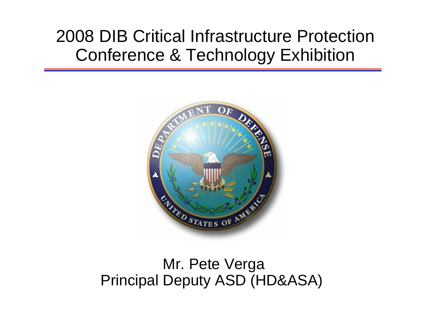# 2008 DIB Critical Infrastructure Protection Conference & Technology Exhibition



## Mr. Pete Verga Principal Deputy ASD (HD&ASA)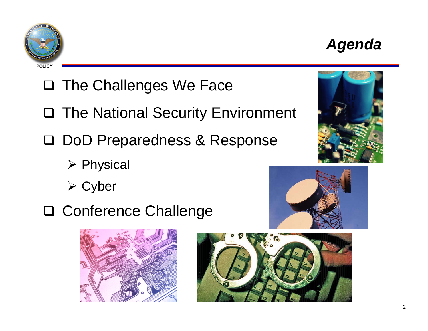# *Agenda*

# □ The Challenges We Face

- □ The National Security Environment
- □ DoD Preparedness & Response
	- ¾ Physical
	- ¾ Cyber
- Conference Challenge







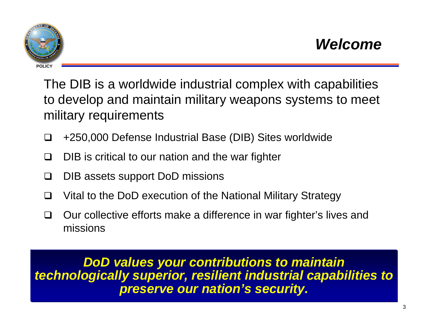

The DIB is a worldwide industrial complex with capabilities to develop and maintain military weapons systems to meet military requirements

- H +250,000 Defense Industrial Base (DIB) Sites worldwide
- l 1 DIB is critical to our nation and the war fighter
- ப DIB assets support DoD missions
- $\mathbf{L}$ Vital to the DoD execution of the National Military Strategy
- $\perp$  Our collective efforts make a difference in war fighter's lives and missions

*DoD values your contributions to maintain technologically superior, resilient industrial capabilities to preserve our nation's security.*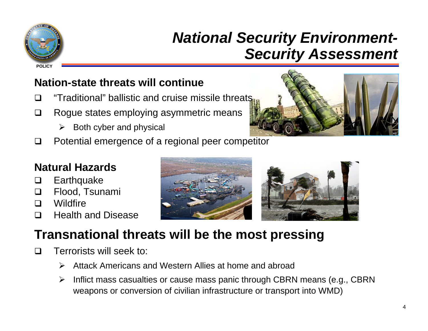

# *National Security Environment-Security Assessment*

#### **Nation-state threats will continue**

- $\Box$ "Traditional" ballistic and cruise missile threats
- $\Box$  Rogue states employing asymmetric means
	- $\triangleright$  Both cyber and physical
- $\Box$ Potential emergence of a regional peer competitor



#### **Natural Hazards**

- l 1 **Earthquake**
- | I Flood, Tsunami
- $\Box$ **Wildfire**
- $\Box$ Health and Disease



## **Transnational threats will be the most pressing**

- $\perp$  Terrorists will seek to:
	- $\blacktriangleright$ Attack Americans and Western Allies at home and abroad
	- $\blacktriangleright$  Inflict mass casualties or cause mass panic through CBRN means (e.g., CBRN weapons or conversion of civilian infrastructure or transport into WMD)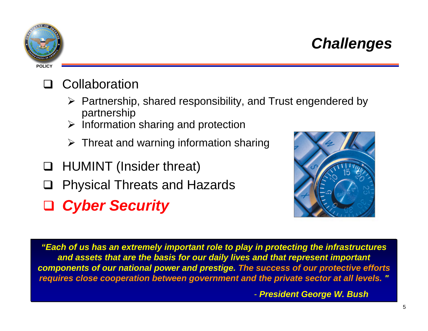# *Challenges*

## **Q** Collaboration

- ¾ Partnership, shared responsibility, and Trust engendered by partnership
- $\triangleright$  Information sharing and protection
- $\triangleright$  Threat and warning information sharing
- HUMINT (Insider threat)
- $\Box$ Physical Threats and Hazards
- *Cyber Security*

*"Each of us has an extremely important role to play in protecting the infrastructures and assets that are the basis for our daily lives and that represent important components of our national power and prestige. The success of our protective efforts requires close cooperation between government and the private sector at all levels. "*

*- President George W. Bush*



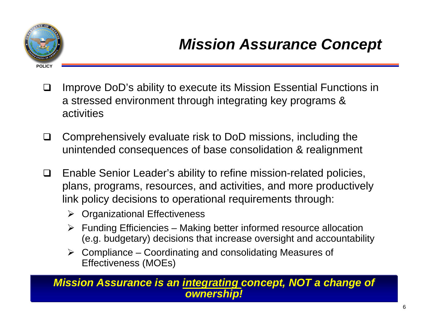

- $\Box$  Improve DoD's ability to execute its Mission Essential Functions in a stressed environment through integrating key programs & activities
- $\Box$  Comprehensively evaluate risk to DoD missions, including the unintended consequences of base consolidation & realignment
- $\Box$  Enable Senior Leader's ability to refine mission-related policies, plans, programs, resources, and activities, and more productively link policy decisions to operational requirements through:
	- ¾ Organizational Effectiveness
	- $\triangleright$  Funding Efficiencies Making better informed resource allocation (e.g. budgetary) decisions that increase oversight and accountability
	- $\triangleright$  Compliance Coordinating and consolidating Measures of Effectiveness (MOEs)

#### *Mission Assurance is an integrating concept, NOT a change of ownership!*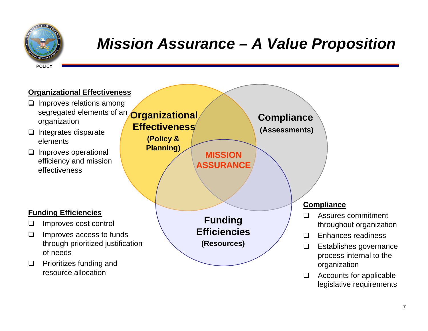

# *Mission Assurance – A Value Proposition*

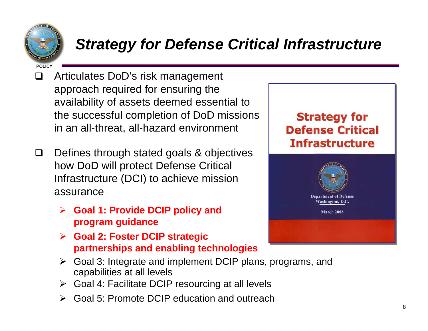

# *Strategy for Defense Critical Infrastructure*

- $\Box$  Articulates DoD's risk management approach required for ensuring the availability of assets deemed essential to the successful completion of DoD missions in an all-threat, all-hazard environment
- $\Box$  Defines through stated goals & objectives how DoD will protect Defense Critical Infrastructure (DCI) to achieve mission assurance
	- ¾ **Goal 1: Provide DCIP policy and program guidance**
	- ¾ **Goal 2: Foster DCIP strategic partnerships and enabling technologies**
	- ¾ Goal 3: Integrate and implement DCIP plans, programs, and capabilities at all levels
	- ¾ Goal 4: Facilitate DCIP resourcing at all levels
	- ¾Goal 5: Promote DCIP education and outreach

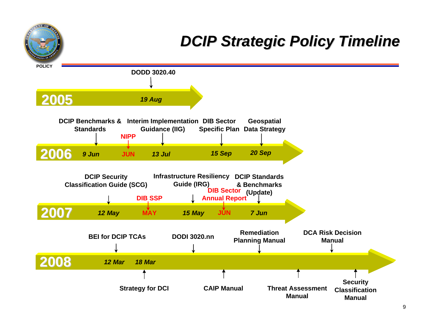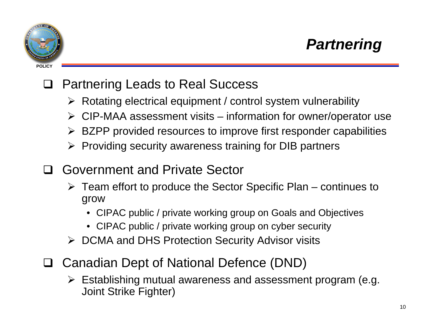



#### $\Box$ Partnering Leads to Real Success

- ¾ Rotating electrical equipment / control system vulnerability
- ¾ CIP-MAA assessment visits information for owner/operator use
- ¾ BZPP provided resources to improve first responder capabilities
- ¾ Providing security awareness training for DIB partners
- $\Box$  Government and Private Sector
	- $\triangleright$  Team effort to produce the Sector Specific Plan continues to grow
		- CIPAC public / private working group on Goals and Objectives
		- CIPAC public / private working group on cyber security
	- ¾ DCMA and DHS Protection Security Advisor visits
- □ Canadian Dept of National Defence (DND)
	- ¾ Establishing mutual awareness and assessment program (e.g. Joint Strike Fighter)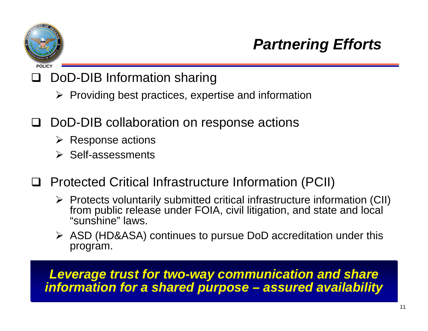

#### $\Box$ DoD-DIB Information sharing

- $\triangleright$  Providing best practices, expertise and information
- $\Box$  DoD-DIB collaboration on response actions
	- $\triangleright$  Response actions
	- ¾ Self-assessments
- □ Protected Critical Infrastructure Information (PCII)
	- ¾ Protects voluntarily submitted critical infrastructure information (CII) from public release under FOIA, civil litigation, and state and local "sunshine" laws.
	- ¾ ASD (HD&ASA) continues to pursue DoD accreditation under this program.

#### *Leverage trust for two-way communication and share information for a shared purpose – assured availability*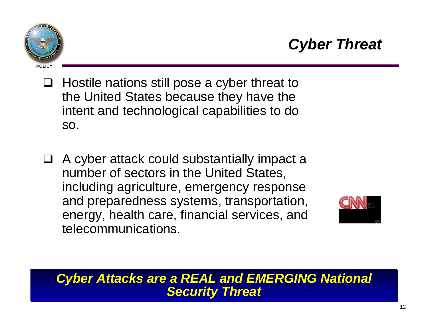

- $\Box$  Hostile nations still pose a cyber threat to the United States because they have the intent and technological capabilities to do so.
- A cyber attack could substantially impact a number of sectors in the United States, including agriculture, emergency response and preparedness systems, transportation, energy, health care, financial services, and telecommunications.



#### *Cyber Attacks are a REAL and EMERGING National Security Threat*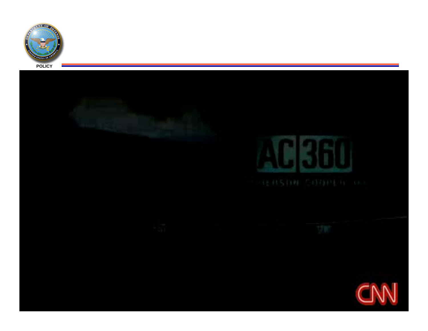







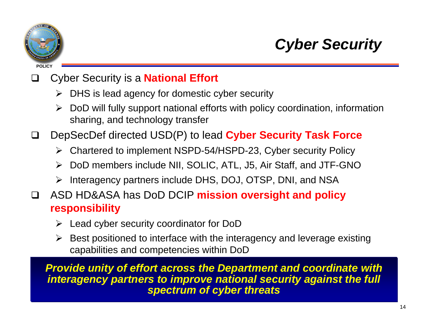

# *Cyber Security*

#### $\Box$ Cyber Security is a **National Effort**

- $\triangleright$  DHS is lead agency for domestic cyber security
- $\blacktriangleright$  DoD will fully support national efforts with policy coordination, information sharing, and technology transfer
- $\sqcup$  DepSecDef directed USD(P) to lead **Cyber Security Task Force**
	- ¾ Chartered to implement NSPD-54/HSPD-23, Cyber security Policy
	- ¾ DoD members include NII, SOLIC, ATL, J5, Air Staff, and JTF-GNO
	- ¾ Interagency partners include DHS, DOJ, OTSP, DNI, and NSA
- $\Box$  ASD HD&ASA has DoD DCIP **mission oversight and policy responsibility**
	- ¾ Lead cyber security coordinator for DoD
	- $\triangleright$  Best positioned to interface with the interagency and leverage existing capabilities and competencies within DoD

*Provide unity of effort across the Department and coordinate with interagency partners to improve national security against the full spectrum of cyber threats*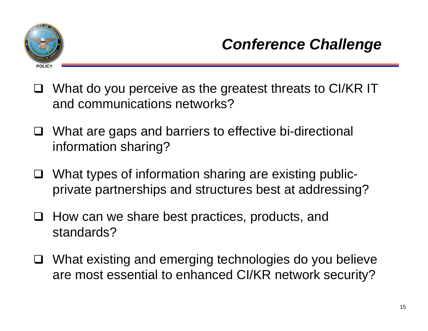

- □ What do you perceive as the greatest threats to CI/KR IT and communications networks?
- □ What are gaps and barriers to effective bi-directional information sharing?
- □ What types of information sharing are existing publicprivate partnerships and structures best at addressing?
- $\Box$  How can we share best practices, products, and standards?
- □ What existing and emerging technologies do you believe are most essential to enhanced CI/KR network security?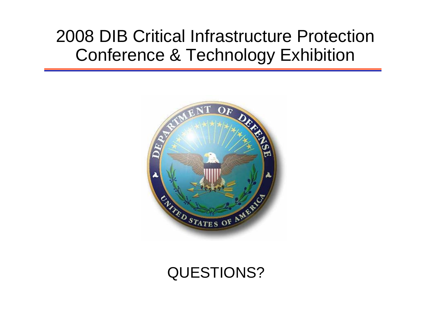# 2008 DIB Critical Infrastructure Protection Conference & Technology Exhibition



## QUESTIONS?